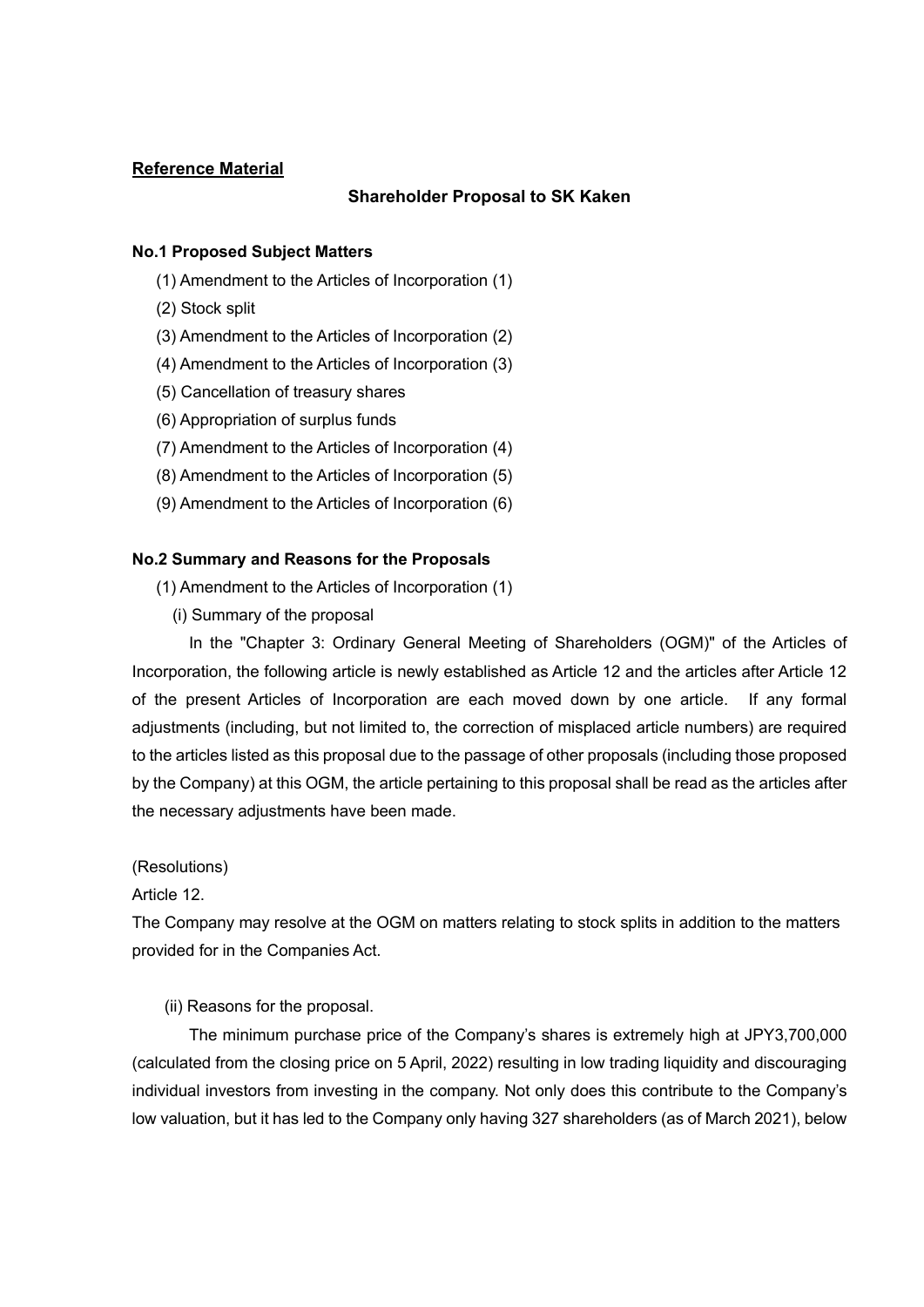# **Reference Material**

# **Shareholder Proposal to SK Kaken**

### **No.1 Proposed Subject Matters**

- (1) Amendment to the Articles of Incorporation (1)
- (2) Stock split
- (3) Amendment to the Articles of Incorporation (2)
- (4) Amendment to the Articles of Incorporation (3)
- (5) Cancellation of treasury shares
- (6) Appropriation of surplus funds
- (7) Amendment to the Articles of Incorporation (4)
- (8) Amendment to the Articles of Incorporation (5)
- (9) Amendment to the Articles of Incorporation (6)

#### **No.2 Summary and Reasons for the Proposals**

- (1) Amendment to the Articles of Incorporation (1)
	- (i) Summary of the proposal

 In the "Chapter 3: Ordinary General Meeting of Shareholders (OGM)" of the Articles of Incorporation, the following article is newly established as Article 12 and the articles after Article 12 of the present Articles of Incorporation are each moved down by one article. If any formal adjustments (including, but not limited to, the correction of misplaced article numbers) are required to the articles listed as this proposal due to the passage of other proposals (including those proposed by the Company) at this OGM, the article pertaining to this proposal shall be read as the articles after the necessary adjustments have been made.

(Resolutions)

Article 12.

The Company may resolve at the OGM on matters relating to stock splits in addition to the matters provided for in the Companies Act.

(ii) Reasons for the proposal.

 The minimum purchase price of the Company's shares is extremely high at JPY3,700,000 (calculated from the closing price on 5 April, 2022) resulting in low trading liquidity and discouraging individual investors from investing in the company. Not only does this contribute to the Company's low valuation, but it has led to the Company only having 327 shareholders (as of March 2021), below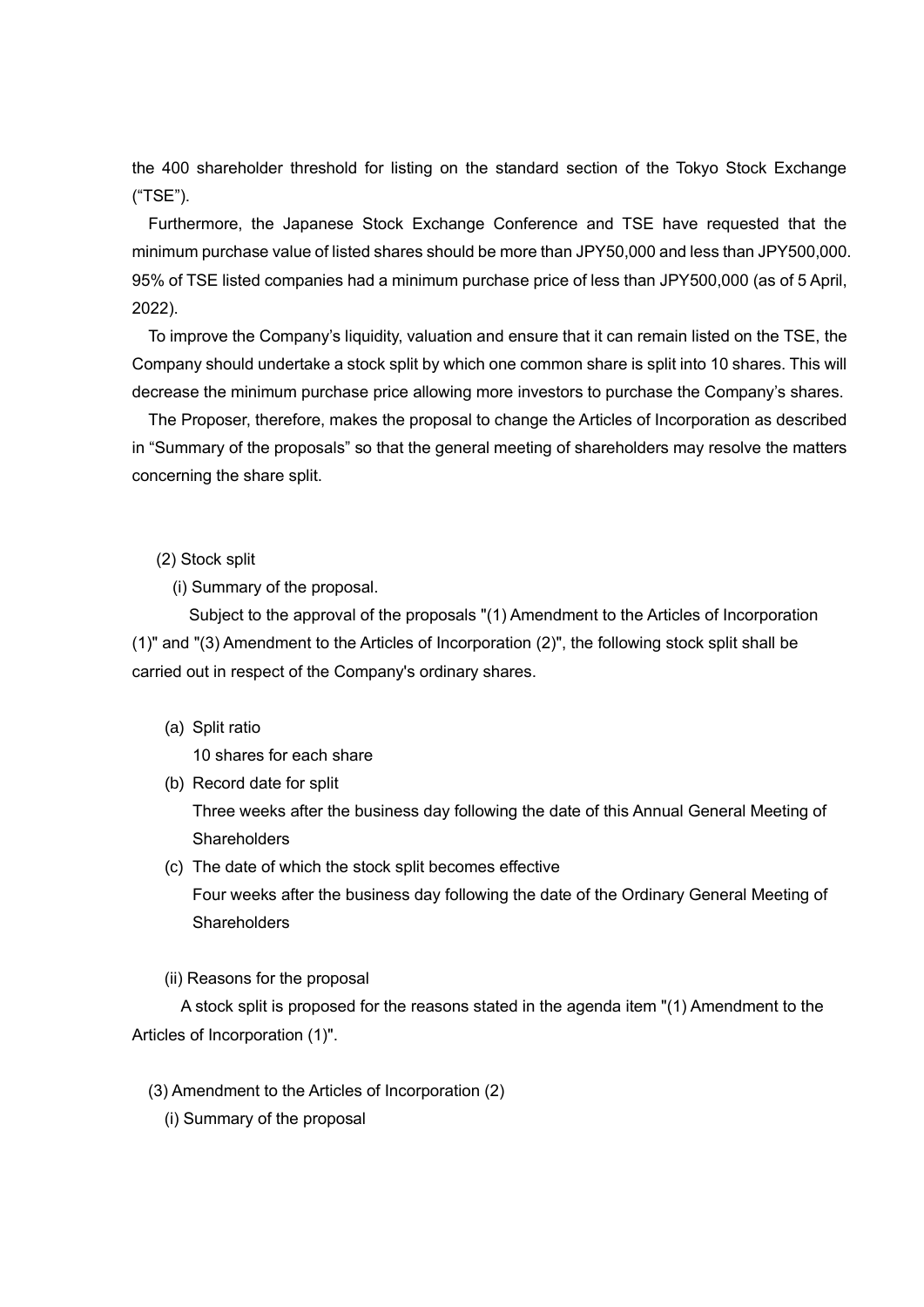the 400 shareholder threshold for listing on the standard section of the Tokyo Stock Exchange ("TSE").

Furthermore, the Japanese Stock Exchange Conference and TSE have requested that the minimum purchase value of listed shares should be more than JPY50,000 and less than JPY500,000. 95% of TSE listed companies had a minimum purchase price of less than JPY500,000 (as of 5 April, 2022).

To improve the Company's liquidity, valuation and ensure that it can remain listed on the TSE, the Company should undertake a stock split by which one common share is split into 10 shares. This will decrease the minimum purchase price allowing more investors to purchase the Company's shares.

The Proposer, therefore, makes the proposal to change the Articles of Incorporation as described in "Summary of the proposals" so that the general meeting of shareholders may resolve the matters concerning the share split.

#### (2) Stock split

(i) Summary of the proposal.

 Subject to the approval of the proposals "(1) Amendment to the Articles of Incorporation (1)" and "(3) Amendment to the Articles of Incorporation (2)", the following stock split shall be carried out in respect of the Company's ordinary shares.

(a) Split ratio

10 shares for each share

- (b) Record date for split Three weeks after the business day following the date of this Annual General Meeting of **Shareholders**
- (c) The date of which the stock split becomes effective Four weeks after the business day following the date of the Ordinary General Meeting of **Shareholders**
- (ii) Reasons for the proposal

 A stock split is proposed for the reasons stated in the agenda item "(1) Amendment to the Articles of Incorporation (1)".

- (3) Amendment to the Articles of Incorporation (2)
	- (i) Summary of the proposal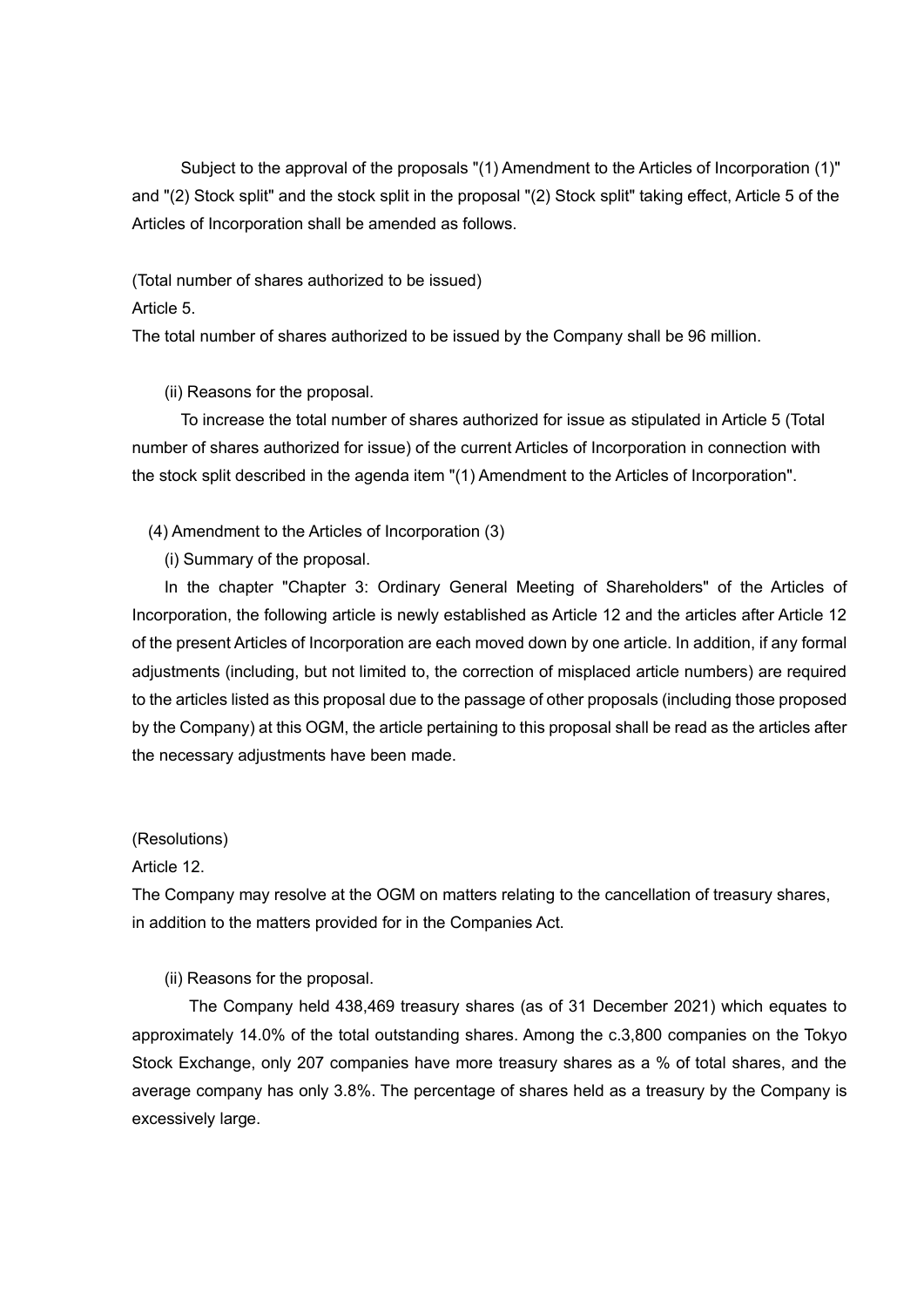Subject to the approval of the proposals "(1) Amendment to the Articles of Incorporation (1)" and "(2) Stock split" and the stock split in the proposal "(2) Stock split" taking effect, Article 5 of the Articles of Incorporation shall be amended as follows.

(Total number of shares authorized to be issued)

Article 5.

The total number of shares authorized to be issued by the Company shall be 96 million.

(ii) Reasons for the proposal.

 To increase the total number of shares authorized for issue as stipulated in Article 5 (Total number of shares authorized for issue) of the current Articles of Incorporation in connection with the stock split described in the agenda item "(1) Amendment to the Articles of Incorporation".

(4) Amendment to the Articles of Incorporation (3)

(i) Summary of the proposal.

 In the chapter "Chapter 3: Ordinary General Meeting of Shareholders" of the Articles of Incorporation, the following article is newly established as Article 12 and the articles after Article 12 of the present Articles of Incorporation are each moved down by one article. In addition, if any formal adjustments (including, but not limited to, the correction of misplaced article numbers) are required to the articles listed as this proposal due to the passage of other proposals (including those proposed by the Company) at this OGM, the article pertaining to this proposal shall be read as the articles after the necessary adjustments have been made.

(Resolutions)

Article 12.

The Company may resolve at the OGM on matters relating to the cancellation of treasury shares, in addition to the matters provided for in the Companies Act.

(ii) Reasons for the proposal.

 The Company held 438,469 treasury shares (as of 31 December 2021) which equates to approximately 14.0% of the total outstanding shares. Among the c.3,800 companies on the Tokyo Stock Exchange, only 207 companies have more treasury shares as a % of total shares, and the average company has only 3.8%. The percentage of shares held as a treasury by the Company is excessively large.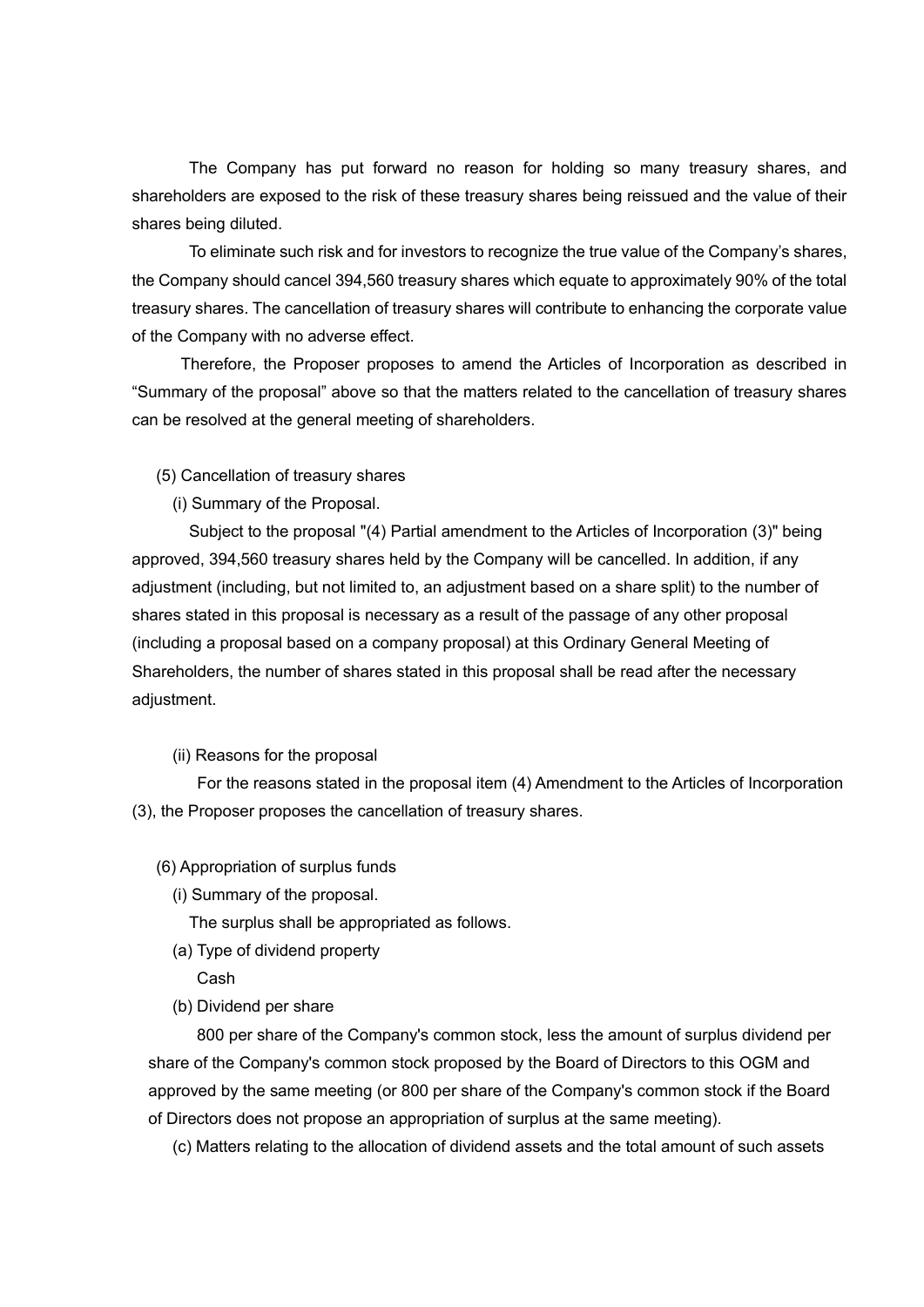The Company has put forward no reason for holding so many treasury shares, and shareholders are exposed to the risk of these treasury shares being reissued and the value of their shares being diluted.

 To eliminate such risk and for investors to recognize the true value of the Company's shares, the Company should cancel 394,560 treasury shares which equate to approximately 90% of the total treasury shares. The cancellation of treasury shares will contribute to enhancing the corporate value of the Company with no adverse effect.

 Therefore, the Proposer proposes to amend the Articles of Incorporation as described in "Summary of the proposal" above so that the matters related to the cancellation of treasury shares can be resolved at the general meeting of shareholders.

- (5) Cancellation of treasury shares
	- (i) Summary of the Proposal.

 Subject to the proposal "(4) Partial amendment to the Articles of Incorporation (3)" being approved, 394,560 treasury shares held by the Company will be cancelled. In addition, if any adjustment (including, but not limited to, an adjustment based on a share split) to the number of shares stated in this proposal is necessary as a result of the passage of any other proposal (including a proposal based on a company proposal) at this Ordinary General Meeting of Shareholders, the number of shares stated in this proposal shall be read after the necessary adjustment.

# (ii) Reasons for the proposal

 For the reasons stated in the proposal item (4) Amendment to the Articles of Incorporation (3), the Proposer proposes the cancellation of treasury shares.

#### (6) Appropriation of surplus funds

(i) Summary of the proposal.

The surplus shall be appropriated as follows.

(a) Type of dividend property

Cash

(b) Dividend per share

 800 per share of the Company's common stock, less the amount of surplus dividend per share of the Company's common stock proposed by the Board of Directors to this OGM and approved by the same meeting (or 800 per share of the Company's common stock if the Board of Directors does not propose an appropriation of surplus at the same meeting).

(c) Matters relating to the allocation of dividend assets and the total amount of such assets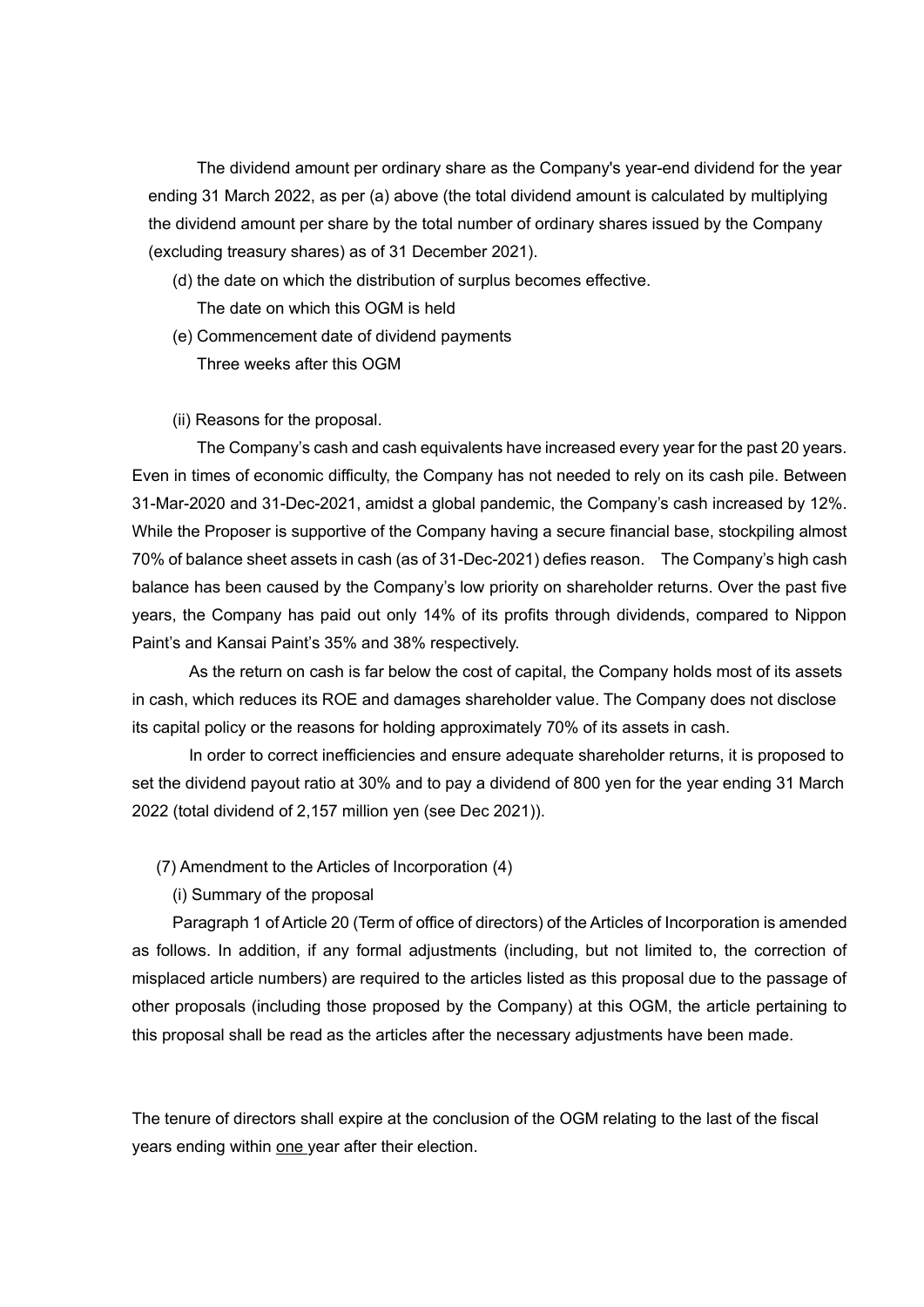The dividend amount per ordinary share as the Company's year-end dividend for the year ending 31 March 2022, as per (a) above (the total dividend amount is calculated by multiplying the dividend amount per share by the total number of ordinary shares issued by the Company (excluding treasury shares) as of 31 December 2021).

- (d) the date on which the distribution of surplus becomes effective. The date on which this OGM is held
- (e) Commencement date of dividend payments Three weeks after this OGM
- (ii) Reasons for the proposal.

 The Company's cash and cash equivalents have increased every year for the past 20 years. Even in times of economic difficulty, the Company has not needed to rely on its cash pile. Between 31-Mar-2020 and 31-Dec-2021, amidst a global pandemic, the Company's cash increased by 12%. While the Proposer is supportive of the Company having a secure financial base, stockpiling almost 70% of balance sheet assets in cash (as of 31-Dec-2021) defies reason. The Company's high cash balance has been caused by the Company's low priority on shareholder returns. Over the past five years, the Company has paid out only 14% of its profits through dividends, compared to Nippon Paint's and Kansai Paint's 35% and 38% respectively.

 As the return on cash is far below the cost of capital, the Company holds most of its assets in cash, which reduces its ROE and damages shareholder value. The Company does not disclose its capital policy or the reasons for holding approximately 70% of its assets in cash.

 In order to correct inefficiencies and ensure adequate shareholder returns, it is proposed to set the dividend payout ratio at 30% and to pay a dividend of 800 yen for the year ending 31 March 2022 (total dividend of 2,157 million yen (see Dec 2021)).

- (7) Amendment to the Articles of Incorporation (4)
	- (i) Summary of the proposal

 Paragraph 1 of Article 20 (Term of office of directors) of the Articles of Incorporation is amended as follows. In addition, if any formal adjustments (including, but not limited to, the correction of misplaced article numbers) are required to the articles listed as this proposal due to the passage of other proposals (including those proposed by the Company) at this OGM, the article pertaining to this proposal shall be read as the articles after the necessary adjustments have been made.

The tenure of directors shall expire at the conclusion of the OGM relating to the last of the fiscal years ending within one year after their election.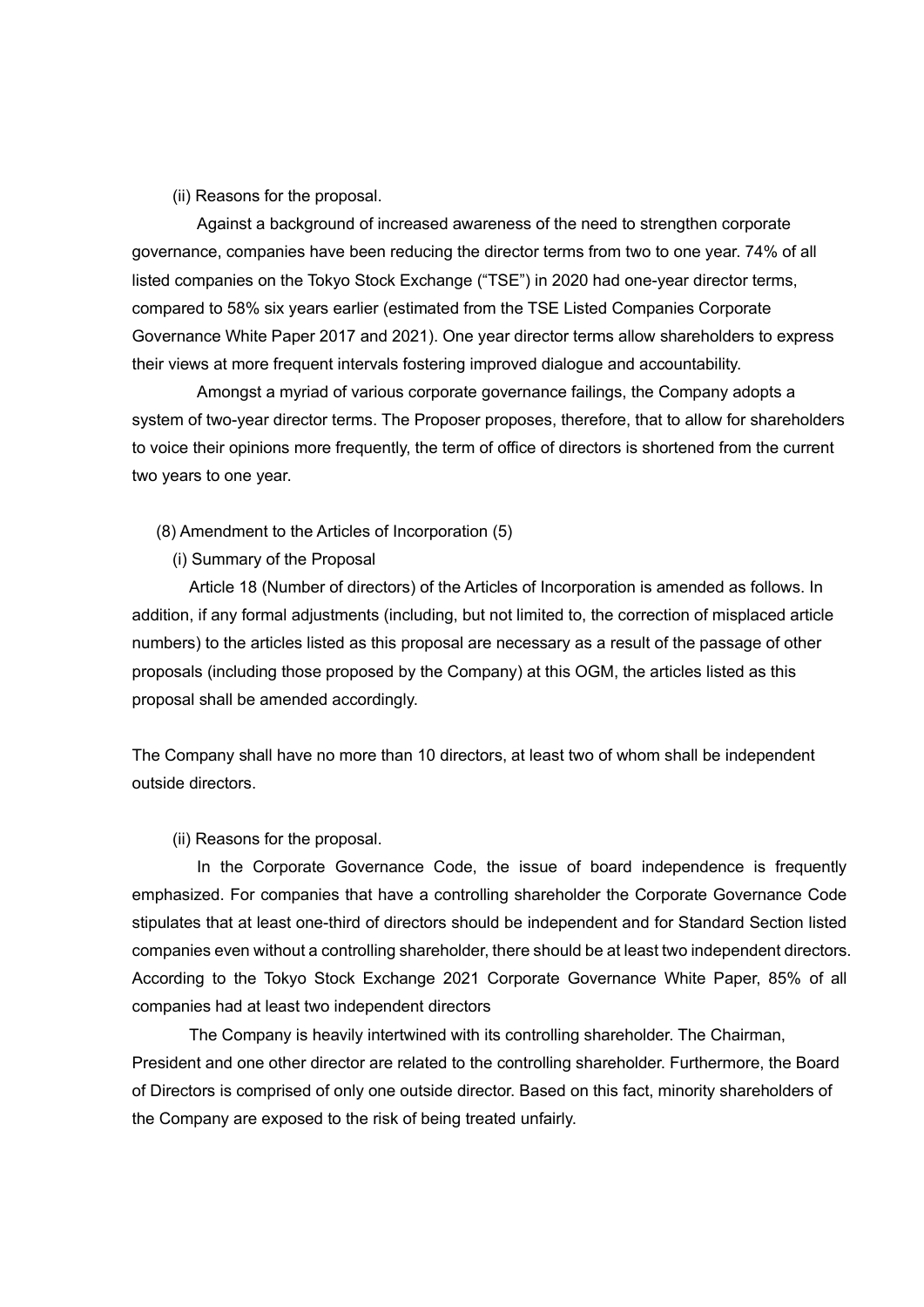(ii) Reasons for the proposal.

 Against a background of increased awareness of the need to strengthen corporate governance, companies have been reducing the director terms from two to one year. 74% of all listed companies on the Tokyo Stock Exchange ("TSE") in 2020 had one-year director terms, compared to 58% six years earlier (estimated from the TSE Listed Companies Corporate Governance White Paper 2017 and 2021). One year director terms allow shareholders to express their views at more frequent intervals fostering improved dialogue and accountability.

 Amongst a myriad of various corporate governance failings, the Company adopts a system of two-year director terms. The Proposer proposes, therefore, that to allow for shareholders to voice their opinions more frequently, the term of office of directors is shortened from the current two years to one year.

- (8) Amendment to the Articles of Incorporation (5)
	- (i) Summary of the Proposal

 Article 18 (Number of directors) of the Articles of Incorporation is amended as follows. In addition, if any formal adjustments (including, but not limited to, the correction of misplaced article numbers) to the articles listed as this proposal are necessary as a result of the passage of other proposals (including those proposed by the Company) at this OGM, the articles listed as this proposal shall be amended accordingly.

The Company shall have no more than 10 directors, at least two of whom shall be independent outside directors.

(ii) Reasons for the proposal.

 In the Corporate Governance Code, the issue of board independence is frequently emphasized. For companies that have a controlling shareholder the Corporate Governance Code stipulates that at least one-third of directors should be independent and for Standard Section listed companies even without a controlling shareholder, there should be at least two independent directors. According to the Tokyo Stock Exchange 2021 Corporate Governance White Paper, 85% of all companies had at least two independent directors

 The Company is heavily intertwined with its controlling shareholder. The Chairman, President and one other director are related to the controlling shareholder. Furthermore, the Board of Directors is comprised of only one outside director. Based on this fact, minority shareholders of the Company are exposed to the risk of being treated unfairly.